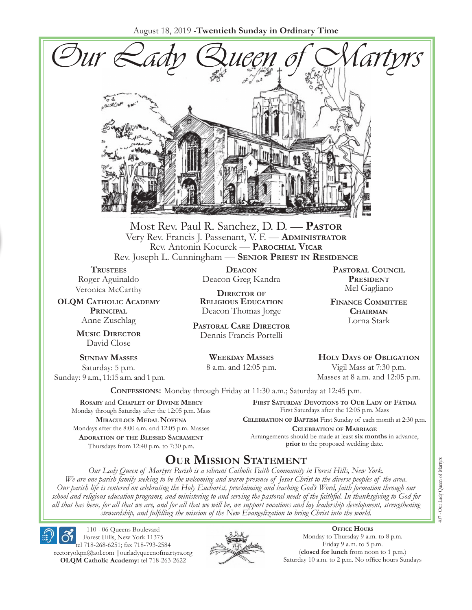August 18, 2019 -**Twentieth Sunday in Ordinary Time**



Most Rev. Paul R. Sanchez, D. D. — **Pastor** Very Rev. Francis J. Passenant, V. F. — **Administrator** Rev. Antonin Kocurek — **Parochial Vicar** Rev. Joseph L. Cunningham — **Senior Priest in Residence**

**TRUSTEES** Roger Aguinaldo Veronica McCarthy

**OLQM Catholic Academy Principal** Anne Zuschlag

> **Music Director** David Close

**Sunday Masses** Saturday: 5 p.m. Sunday: 9 a.m., 11:15 a.m. and 1 p.m.

**Deacon** Deacon Greg Kandra

**Director of Religious Education** Deacon Thomas Jorge

**Pastoral Care Director** Dennis Francis Portelli

> **Weekday Masses** 8 a.m. and 12:05 p.m.

**Pastoral Council President** Mel Gagliano

**Finance Committee Chairman** Lorna Stark

**Holy Days of Obligation** Vigil Mass at 7:30 p.m.

Masses at 8 a.m. and 12:05 p.m.

**Confessions:** Monday through Friday at 11:30 a.m.; Saturday at 12:45 p.m.

**Rosary** and **Chaplet of Divine Mercy** Monday through Saturday after the 12:05 p.m. Mass **Miraculous Medal Novena** Mondays after the 8:00 a.m. and 12:05 p.m. Masses **Adoration of the Blessed Sacrament** Thursdays from 12:40 p.m. to 7:30 p.m.

**First Saturday Devotions to Our Lady of Fátima** First Saturdays after the 12:05 p.m. Mass

**Celebration of Baptism** First Sunday of each month at 2:30 p.m. **Celebration of Marriage** Arrangements should be made at least **six months** in advance, **prior** to the proposed wedding date.

## **Our Mission Statement**

*Our Lady Queen of Martyrs Parish is a vibrant Catholic Faith Community in Forest Hills, New York. We are one parish family seeking to be the welcoming and warm presence of Jesus Christ to the diverse peoples of the area. Our parish life is centered on celebrating the Holy Eucharist, proclaiming and teaching God's Word, faith formation through our school and religious education programs, and ministering to and serving the pastoral needs of the faithful. In thanksgiving to God for all that has been, for all that we are, and for all that we will be, we support vocations and lay leadership development, strengthening stewardship, and fulfilling the mission of the New Evangelization to bring Christ into the world.*

110 - 06 Queens Boulevard Forest Hills, New York 11375

tel 718-268-6251; fax 718-793-2584 [rectoryolqm@aol.com](mailto:rectoryolqm@aol.com) **|**[ourladyqueenofmartyrs.org](www.ourladyqueenofmartyrs.org) **OLQM Catholic Academy:** tel 718-263-2622



**Office Hours** Monday to Thursday 9 a.m. to 8 p.m. Friday 9 a.m. to 5 p.m. (**closed for lunch** from noon to 1 p.m.) Saturday 10 a.m. to 2 p.m. No office hours Sundays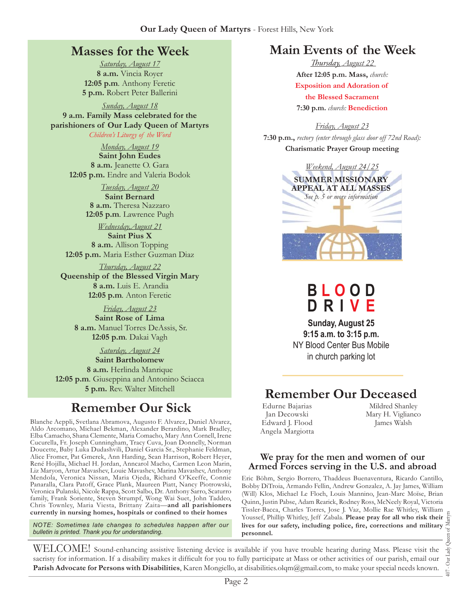### **Masses for the Week**

*Saturday, August 17* **8 a.m.** Vincia Royer **12:05 p.m***.* Anthony Feretic **5 p.m.** Robert Peter Ballerini

*Sunday, August 18* **9 a.m. Family Mass celebrated for the parishioners of Our Lady Queen of Martyrs** *Children's Liturgy of the Word* 

> *Monday, August 19* **Saint John Eudes 8 a.m.** Jeanette O. Gara **12:05 p.m.** Endre and Valeria Bodok

> > *Tuesday, August 20* **Saint Bernard 8 a.m.** Theresa Nazzaro **12:05 p.m***.* Lawrence Pugh

*Wednesday,August 21* **Saint Pius X 8 a.m.** Allison Topping **12:05 p.m.** Maria Esther Guzman Diaz

*Thursday, August 22* **Queenship of the Blessed Virgin Mary 8 a.m.** Luis E. Arandia **12:05 p.m***.* Anton Feretic

*Friday, August 23* **Saint Rose of Lima 8 a.m.** Manuel Torres DeAssis, Sr. **12:05 p.m***.* Dakai Vagh

*Saturday, August 24* **Saint Bartholomew 8 a.m.** Herlinda Manrique **12:05 p.m***.* Giuseppina and Antonino Sciacca **5 p.m.** Rev. Walter Mitchell

## **Remember Our Sick**

Blanche Aeppli, Svetlana Abramova, Augusto F. Alvarez, Daniel Alvarez, Aldo Arcomano, Michael Bekman, Alexander Berardino, Mark Bradley, Elba Camacho, Shana Clemente, Maria Comacho, Mary Ann Cornell, Irene Cucurella, Fr. Joseph Cunningham, Tracy Cuva, Joan Donnelly, Norman Doucette, Baby Luka Dudashvili, Daniel Garcia Sr., Stephanie Feldman, Alice Fromer, Pat Gmerek, Ann Harding, Sean Harrison, Robert Heyer, René Hojilla, Michael H. Jordan, Anncarol Macho, Carmen Leon Marin, Liz Maryon, Artur Mavashev, Louie Mavashev, Marina Mavashev, Anthony Mendola, Veronica Nissan, Maria Ojeda, Richard O'Keeffe, Connie Panaralla, Clara Patoff, Grace Plank, Maureen Piatt, Nancy Piotrowski, Veronica Pulanski, Nicole Rappa, Scott Salbo, Dr. Anthony Sarro, Scaturro family, Frank Soriente, Steven Strumpf, Wong Wai Suet, John Taddeo, Chris Townley, Maria Viesta, Brittany Zaita—**and all parishioners currently in nursing homes, hospitals or confined to their homes**

*NOTE: Sometimes late changes to schedules happen after our bulletin is printed. Thank you for understanding.*

### **Main Events of the Week**

*Thursday, August 22*  **After 12:05 p.m. Mass,** *church:*  **Exposition and Adoration of the Blessed Sacrament 7:30 p.m.** *church:* **Benediction** 

*Friday, August 23* **7:30 p.m.,** *rectory (enter through glass door off 72nd Road):* **Charismatic Prayer Group meeting**



**B l o o d D r i v e**

**Sunday, August 25 9:15 a.m. to 3:15 p.m.**  NY Blood Center Bus Mobile in church parking lot

## **Remember Our Deceased**

Edurne Bajarias Jan Decowski Edward J. Flood Angela Margiotta

Mildred Shanley Mary H. Viglianco James Walsh

#### **We pray for the men and women of our Armed Forces serving in the U.S. and abroad**

Eric Böhm, Sergio Borrero, Thaddeus Buenaventura, Ricardo Cantillo, Bobby DiTroia, Armando Fellin, Andrew Gonzalez, A. Jay James, William (Will) Klos, Michael Le Floch, Louis Mannino, Jean-Marc Moïse, Brian Quinn, Justin Pabse, Adam Rearick, Rodney Ross, McNeely Royal, Victoria Tissler-Bacca, Charles Torres, Jose J. Vaz, Mollie Rae Whitley, William Youssef, Phillip Whitley, Jeff Zabala. **Please pray for all who risk their lives for our safety, including police, fire, corrections and military personnel.**

407 - Our Lady Queen of Martyrs Our Lady  $\overline{407}$  .

WELCOME! Sound-enhancing assistive listening device is available if you have trouble hearing during Mass. Please visit the sacristy for information. If a disability makes it difficult for you to fully participate at Mass or other activities of our parish, email our **Parish Advocate for Persons with Disabilities**, Karen Mongiello, at [disabilities.olqm@gmail.com,](mailto:disabilities.olqm@gmail.com) to make your special needs known.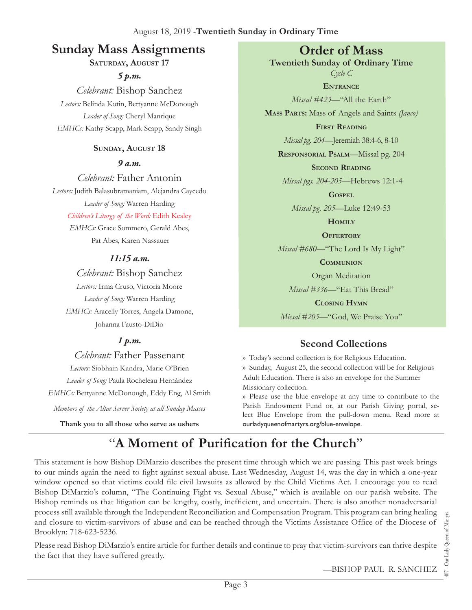## **Sunday Mass Assignments Order of Mass**

**Saturday, August 17**

*5 p.m. Celebrant:* Bishop Sanchez *Lectors:* Belinda Kotin, Bettyanne McDonough *Leader of Song:* Cheryl Manrique *EMHCs:* Kathy Scapp, Mark Scapp, Sandy Singh

### **Sunday, August 18**

*9 a.m.* 

*Celebrant:* Father Antonin *Lectors:* Judith Balasubramaniam, Alejandra Caycedo *Leader of Song:* Warren Harding

*Children's Liturgy of the Word:* Edith Kealey

*EMHCs:* Grace Sommero, Gerald Abes, Pat Abes, Karen Nassauer

### *11:15 a.m.*

*Celebrant:* Bishop Sanchez *Lectors:* Irma Cruso, Victoria Moore *Leader of Song:* Warren Harding *EMHCs:* Aracelly Torres, Angela Damone, Johanna Fausto-DiDio

### *1 p.m.*

*Celebrant:* Father Passenant

*Lectors:* Siobhain Kandra, Marie O'Brien *Leader of Song:* Paula Rocheleau Hernández *EMHCs:* Bettyanne McDonough, Eddy Eng, Al Smith

*Members of the Altar Server Society at all Sunday Masses*

**Thank you to all those who serve as ushers**

**Twentieth Sunday of Ordinary Time** *Cycle C*

**Entrance** *Missal #423—*"All the Earth" **Mass Parts:** Mass of Angels and Saints *(Janco)* **First Reading** *Missal pg. 204—*Jeremiah 38:4-6, 8-10 **Responsorial Psalm**—Missal pg. 204 **Second Reading** *Missal pgs. 204-205—*Hebrews 12:1-4 **Gospel** *Missal pg. 205—*Luke 12:49-53 **Homily**

**Offertory**

*Missal #680—*"The Lord Is My Light"

**Communion**

Organ Meditation

*Missal #336—*"Eat This Bread"

**Closing Hymn**

*Missal #205*—"God, We Praise You"

### **Second Collections**

›› Today's second collection is for Religious Education. ›› Sunday, August 25, the second collection will be for Religious Adult Education. There is also an envelope for the Summer Missionary collection.

›› Please use the blue envelope at any time to contribute to the Parish Endowment Fund or, at our Parish Giving portal, select Blue Envelope from the pull-down menu. Read more at ourladyqueenofmartyrs.org/blue-envelope.

# "**A Moment of Purification for the Church**"

This statement is how Bishop DiMarzio describes the present time through which we are passing. This past week brings to our minds again the need to fight against sexual abuse. Last Wednesday, August 14, was the day in which a one-year window opened so that victims could file civil lawsuits as allowed by the Child Victims Act. I encourage you to read Bishop DiMarzio's column, "The Continuing Fight vs. Sexual Abuse," which is available on our parish website. The Bishop reminds us that litigation can be lengthy, costly, inefficient, and uncertain. There is also another nonadversarial process still available through the Independent Reconciliation and Compensation Program. This program can bring healing and closure to victim-survivors of abuse and can be reached through the Victims Assistance Office of the Diocese of Brooklyn: 718-623-5236.

Please read Bishop DiMarzio's entire article for further details and continue to pray that victim-survivors can thrive despite the fact that they have suffered greatly.

—Bishop Paul R. Sanchez

107 - Our Lady Queen of Martyr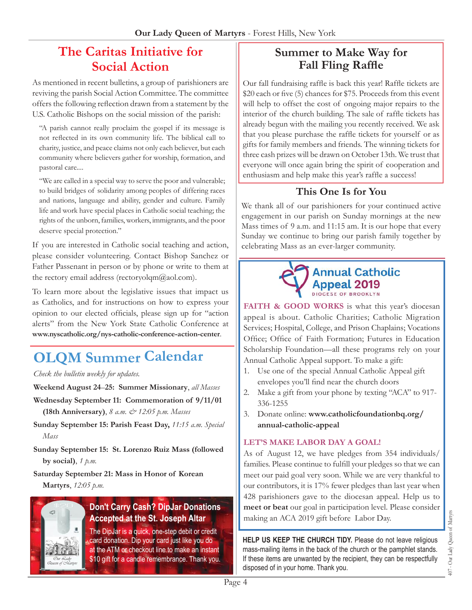## **The Caritas Initiative for Social Action**

As mentioned in recent bulletins, a group of parishioners are reviving the parish Social Action Committee. The committee offers the following reflection drawn from a statement by the U.S. Catholic Bishops on the social mission of the parish:

"A parish cannot really proclaim the gospel if its message is not reflected in its own community life. The biblical call to charity, justice, and peace claims not only each believer, but each community where believers gather for worship, formation, and pastoral care....

"We are called in a special way to serve the poor and vulnerable; to build bridges of solidarity among peoples of differing races and nations, language and ability, gender and culture. Family life and work have special places in Catholic social teaching; the rights of the unborn, families, workers, immigrants, and the poor deserve special protection."

If you are interested in Catholic social teaching and action, please consider volunteering. Contact Bishop Sanchez or Father Passenant in person or by phone or write to them at the rectory email address (rectoryolqm $@a$ ol.com).

To learn more about the legislative issues that impact us as Catholics, and for instructions on how to express your opinion to our elected officials, please sign up for "action alerts" from the New York State Catholic Conference at **[www.nyscatholic.org/nys-catholic-conference-action-center](https://www.nyscatholic.org/nys-catholic-conference-action-center/)**.

# **OLQM Summer Calendar**

*Check the bulletin weekly for updates.*

**Weekend August 24**–**25: Summer Missionary**, *all Masses*

- **Wednesday September 11: Commemoration of 9/11/01 (18th Anniversary)**, *8 a.m. & 12:05 p.m. Masses*
- **Sunday September 15: Parish Feast Day,** *11:15 a.m. Special Mass*
- **Sunday September 15: St. Lorenzo Ruiz Mass (followed by social)**, *1 p.m.*

**Saturday September 21: Mass in Honor of Korean Martyrs**, *12:05 p.m.*



### **Don't Carry Cash? DipJar Donations Accepted at the St. Joseph Altar**

The DipJar is a quick, one-step debit or credit card donation. Dip your card just like you do at the ATM or checkout line to make an instant \$10 gift for a candle remembrance. Thank you.

### **Summer to Make Way for Fall Fling Raffle**

Our fall fundraising raffle is back this year! Raffle tickets are \$20 each or five (5) chances for \$75. Proceeds from this event will help to offset the cost of ongoing major repairs to the interior of the church building. The sale of raffle tickets has already begun with the mailing you recently received. We ask that you please purchase the raffle tickets for yourself or as gifts for family members and friends. The winning tickets for three cash prizes will be drawn on October 13th. We trust that everyone will once again bring the spirit of cooperation and enthusiasm and help make this year's raffle a success!

### **This One Is for You**

We thank all of our parishioners for your continued active engagement in our parish on Sunday mornings at the new Mass times of 9 a.m. and 11:15 am. It is our hope that every Sunday we continue to bring our parish family together by celebrating Mass as an ever-larger community.

### **Annual Catholic** Appeal 2019 DIOCESE OF BROOKLY

FAITH & GOOD WORKS is what this year's diocesan appeal is about. Catholic Charities; Catholic Migration Services; Hospital, College, and Prison Chaplains; Vocations Office; Office of Faith Formation; Futures in Education Scholarship Foundation—all these programs rely on your Annual Catholic Appeal support. To make a gift:

- 1. Use one of the special Annual Catholic Appeal gift envelopes you'll find near the church doors
- 2. Make a gift from your phone by texting "ACA" to 917- 336-1255
- 3. Donate online: **[www.catholicfoundationbq.org/](www.catholicfoundationbq.org/annual) [annual-](www.catholicfoundationbq.org/annual)catholic-appeal**

#### **Let's make Labor Day A GOAL!**

As of August 12, we have pledges from 354 individuals/ families. Please continue to fulfill your pledges so that we can meet our paid goal very soon. While we are very thankful to our contributors, it is 17% fewer pledges than last year when 428 parishioners gave to the diocesan appeal. Help us to **meet or beat** our goal in participation level. Please consider making an ACA 2019 gift before Labor Day.

**Help Us Keep the Church Tidy.** Please do not leave religious mass-mailing items in the back of the church or the pamphlet stands. If these items are unwanted by the recipient, they can be respectfully disposed of in your home. Thank you.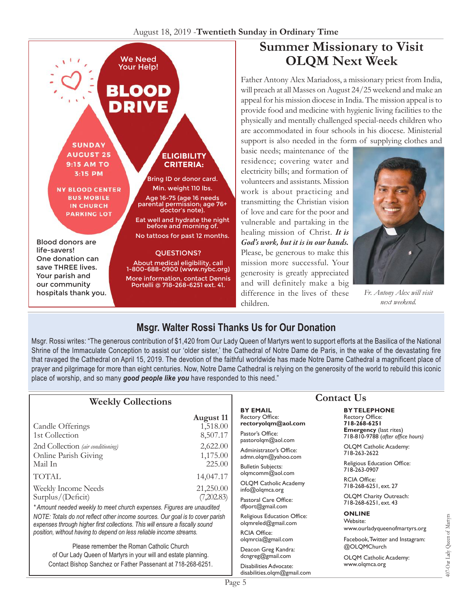#### August 18, 2019 -**Twentieth Sunday in Ordinary Time**



## **Summer Missionary to Visit OLQM Next Week**

Father Antony Alex Mariadoss, a missionary priest from India, will preach at all Masses on August 24/25 weekend and make an appeal for his mission diocese in India. The mission appeal is to provide food and medicine with hygienic living facilities to the physically and mentally challenged special-needs children who are accommodated in four schools in his diocese. Ministerial support is also needed in the form of supplying clothes and

basic needs; maintenance of the residence; covering water and electricity bills; and formation of volunteers and assistants. Mission work is about practicing and transmitting the Christian vision of love and care for the poor and vulnerable and partaking in the healing mission of Christ. *It is God's work, but it is in our hands.* Please, be generous to make this mission more successful. Your generosity is greatly appreciated and will definitely make a big difference in the lives of these children.



*Fr. Antony Alex will visit next weekend.* 

## **Msgr. Walter Rossi Thanks Us for Our Donation**

Msgr. Rossi writes: "The generous contribution of \$1,420 from Our Lady Queen of Martyrs went to support efforts at the Basilica of the National Shrine of the Immaculate Conception to assist our 'older sister,' the Cathedral of Notre Dame de Paris, in the wake of the devastating fire that ravaged the Cathedral on April 15, 2019. The devotion of the faithful worldwide has made Notre Dame Cathedral a magnificent place of prayer and pilgrimage for more than eight centuries. Now, Notre Dame Cathedral is relying on the generosity of the world to rebuild this iconic place of worship, and so many *good people like you* have responded to this need."

| <b>Weekly Collections</b>                                                                                                                                                                                                                         |                                          | <b>Contact Us</b>                                                                    |                                                                                                                                     |
|---------------------------------------------------------------------------------------------------------------------------------------------------------------------------------------------------------------------------------------------------|------------------------------------------|--------------------------------------------------------------------------------------|-------------------------------------------------------------------------------------------------------------------------------------|
| Candle Offerings<br>1st Collection                                                                                                                                                                                                                | <b>August 11</b><br>1,518.00<br>8,507.17 | <b>BY EMAIL</b><br><b>Rectory Office:</b><br>rectoryolqm@aol.com<br>Pastor's Office: | <b>BY TELEPHONE</b><br><b>Rectory Office:</b><br>718-268-6251<br><b>Emergency</b> (last rites)<br>718-810-9788 (after office hours) |
| 2nd Collection (air conditioning)<br>Online Parish Giving                                                                                                                                                                                         | 2,622.00<br>1,175.00                     | pastorolqm@aol.com<br>Administrator's Office:<br>admn.olgm@yahoo.com                 | OLQM Catholic Academy:<br>718-263-2622                                                                                              |
| Mail In                                                                                                                                                                                                                                           | 225.00                                   | <b>Bulletin Subjects:</b><br>olgmcomm@aol.com                                        | Religious Education Office:<br>718-263-0907                                                                                         |
| <b>TOTAL</b><br>Weekly Income Needs                                                                                                                                                                                                               | 14,047.17<br>21,250.00                   | <b>OLQM Catholic Academy</b><br>info@olqmca.org                                      | <b>RCIA Office:</b><br>718-268-6251, ext. 27                                                                                        |
| Surplus/(Deficit)<br>* Amount needed weekly to meet church expenses. Figures are unaudited                                                                                                                                                        | (7,202.83)                               | Pastoral Care Office:<br>dfport@gmail.com                                            | OLQM Charity Outreach:<br>718-268-6251, ext. 43                                                                                     |
| NOTE: Totals do not reflect other income sources. Our goal is to cover parish<br>expenses through higher first collections. This will ensure a fiscally sound                                                                                     |                                          | Religious Education Office:<br>olqmreled@gmail.com                                   | <b>ONLINE</b><br>Website:<br>www.ourladyqueenofmartyrs.org                                                                          |
| position, without having to depend on less reliable income streams.<br>Please remember the Roman Catholic Church<br>of Our Lady Queen of Martyrs in your will and estate planning.<br>Contact Bishop Sanchez or Father Passenant at 718-268-6251. |                                          | <b>RCIA Office:</b><br>olqmrcia@gmail.com                                            | Facebook, Twitter and Instagram:<br>@OLQMChurch                                                                                     |
|                                                                                                                                                                                                                                                   |                                          | Deacon Greg Kandra:<br>dcngreg@gmail.com                                             | OLQM Catholic Academy:                                                                                                              |
|                                                                                                                                                                                                                                                   |                                          | Disabilities Advocate:<br>disabilities.olgm@gmail.com                                | www.olgmca.org                                                                                                                      |